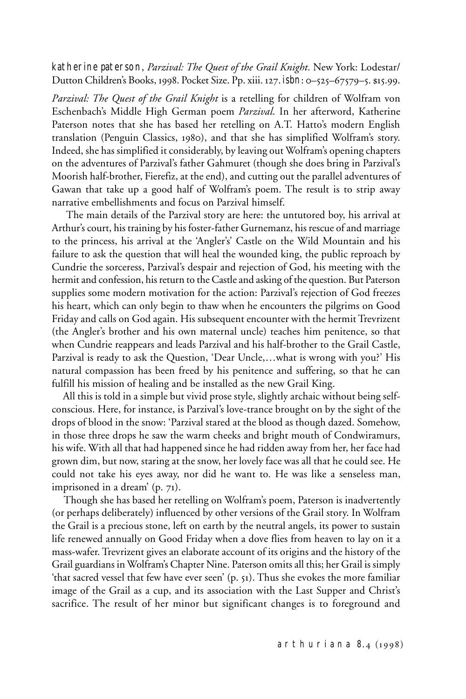katherine paterson, *Parzival: The Quest of the Grail Knight*. New York: Lodestar/ Dutton Children's Books, 1998. Pocket Size. Pp. xiii. 127. isbn: 0–525–67579–5. \$15.99.

*Parzival: The Quest of the Grail Knight* is a retelling for children of Wolfram von Eschenbach's Middle High German poem *Parzival*. In her afterword, Katherine Paterson notes that she has based her retelling on A.T. Hatto's modern English translation (Penguin Classics, 1980), and that she has simplified Wolfram's story. Indeed, she has simplified it considerably, by leaving out Wolfram's opening chapters on the adventures of Parzival's father Gahmuret (though she does bring in Parzival's Moorish half-brother, Fierefiz, at the end), and cutting out the parallel adventures of Gawan that take up a good half of Wolfram's poem. The result is to strip away narrative embellishments and focus on Parzival himself.

 The main details of the Parzival story are here: the untutored boy, his arrival at Arthur's court, his training by his foster-father Gurnemanz, his rescue of and marriage to the princess, his arrival at the 'Angler's' Castle on the Wild Mountain and his failure to ask the question that will heal the wounded king, the public reproach by Cundrie the sorceress, Parzival's despair and rejection of God, his meeting with the hermit and confession, his return to the Castle and asking of the question. But Paterson supplies some modern motivation for the action: Parzival's rejection of God freezes his heart, which can only begin to thaw when he encounters the pilgrims on Good Friday and calls on God again. His subsequent encounter with the hermit Trevrizent (the Angler's brother and his own maternal uncle) teaches him penitence, so that when Cundrie reappears and leads Parzival and his half-brother to the Grail Castle, Parzival is ready to ask the Question, 'Dear Uncle,…what is wrong with you?' His natural compassion has been freed by his penitence and suffering, so that he can fulfill his mission of healing and be installed as the new Grail King.

 All this is told in a simple but vivid prose style, slightly archaic without being selfconscious. Here, for instance, is Parzival's love-trance brought on by the sight of the drops of blood in the snow: 'Parzival stared at the blood as though dazed. Somehow, in those three drops he saw the warm cheeks and bright mouth of Condwiramurs, his wife. With all that had happened since he had ridden away from her, her face had grown dim, but now, staring at the snow, her lovely face was all that he could see. He could not take his eyes away, nor did he want to. He was like a senseless man, imprisoned in a dream' (p. 71).

 Though she has based her retelling on Wolfram's poem, Paterson is inadvertently (or perhaps deliberately) influenced by other versions of the Grail story. In Wolfram the Grail is a precious stone, left on earth by the neutral angels, its power to sustain life renewed annually on Good Friday when a dove flies from heaven to lay on it a mass-wafer. Trevrizent gives an elaborate account of its origins and the history of the Grail guardians in Wolfram's Chapter Nine. Paterson omits all this; her Grail is simply 'that sacred vessel that few have ever seen' (p. 51). Thus she evokes the more familiar image of the Grail as a cup, and its association with the Last Supper and Christ's sacrifice. The result of her minor but significant changes is to foreground and